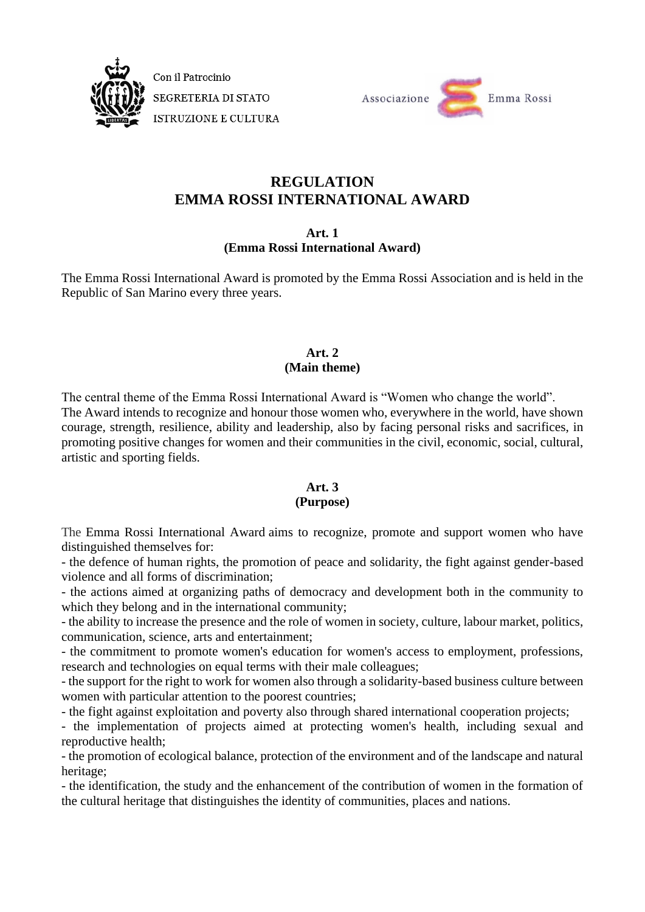

Con il Patrocinio SEGRETERIA DI STATO **ISTRUZIONE E CULTURA** 



# **REGULATION EMMA ROSSI INTERNATIONAL AWARD**

## **Art. 1 (Emma Rossi International Award)**

The Emma Rossi International Award is promoted by the Emma Rossi Association and is held in the Republic of San Marino every three years.

## **Art. 2 (Main theme)**

The central theme of the Emma Rossi International Award is "Women who change the world". The Award intends to recognize and honour those women who, everywhere in the world, have shown courage, strength, resilience, ability and leadership, also by facing personal risks and sacrifices, in promoting positive changes for women and their communities in the civil, economic, social, cultural, artistic and sporting fields.

## **Art. 3**

## **(Purpose)**

The Emma Rossi International Award aims to recognize, promote and support women who have distinguished themselves for:

- the defence of human rights, the promotion of peace and solidarity, the fight against gender-based violence and all forms of discrimination;

- the actions aimed at organizing paths of democracy and development both in the community to which they belong and in the international community;

- the ability to increase the presence and the role of women in society, culture, labour market, politics, communication, science, arts and entertainment;

- the commitment to promote women's education for women's access to employment, professions, research and technologies on equal terms with their male colleagues;

- the support for the right to work for women also through a solidarity-based business culture between women with particular attention to the poorest countries;

- the fight against exploitation and poverty also through shared international cooperation projects;

- the implementation of projects aimed at protecting women's health, including sexual and reproductive health;

- the promotion of ecological balance, protection of the environment and of the landscape and natural heritage;

- the identification, the study and the enhancement of the contribution of women in the formation of the cultural heritage that distinguishes the identity of communities, places and nations.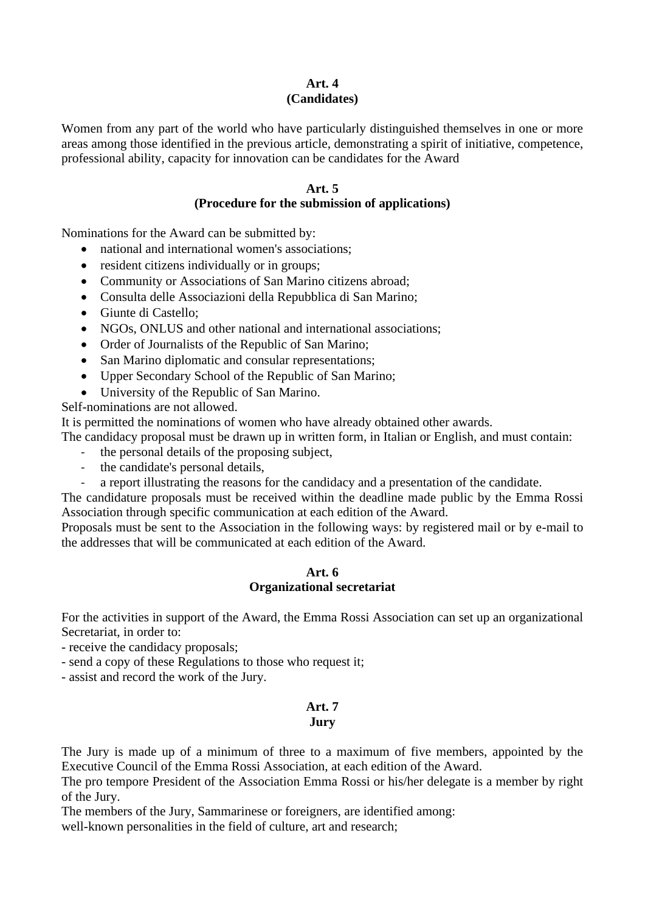## **Art. 4 (Candidates)**

Women from any part of the world who have particularly distinguished themselves in one or more areas among those identified in the previous article, demonstrating a spirit of initiative, competence, professional ability, capacity for innovation can be candidates for the Award

## **Art. 5**

## **(Procedure for the submission of applications)**

Nominations for the Award can be submitted by:

- national and international women's associations;
- resident citizens individually or in groups;
- Community or Associations of San Marino citizens abroad:
- Consulta delle Associazioni della Repubblica di San Marino;
- Giunte di Castello;
- NGOs, ONLUS and other national and international associations;
- Order of Journalists of the Republic of San Marino;
- San Marino diplomatic and consular representations;
- Upper Secondary School of the Republic of San Marino;
- University of the Republic of San Marino.

Self-nominations are not allowed.

It is permitted the nominations of women who have already obtained other awards.

The candidacy proposal must be drawn up in written form, in Italian or English, and must contain:

- the personal details of the proposing subject,
- the candidate's personal details,
- a report illustrating the reasons for the candidacy and a presentation of the candidate.

The candidature proposals must be received within the deadline made public by the Emma Rossi Association through specific communication at each edition of the Award.

Proposals must be sent to the Association in the following ways: by registered mail or by e-mail to the addresses that will be communicated at each edition of the Award.

#### **Art. 6 Organizational secretariat**

For the activities in support of the Award, the Emma Rossi Association can set up an organizational Secretariat, in order to:

- receive the candidacy proposals;
- send a copy of these Regulations to those who request it;

- assist and record the work of the Jury.

#### **Art. 7 Jury**

The Jury is made up of a minimum of three to a maximum of five members, appointed by the Executive Council of the Emma Rossi Association, at each edition of the Award.

The pro tempore President of the Association Emma Rossi or his/her delegate is a member by right of the Jury.

The members of the Jury, Sammarinese or foreigners, are identified among:

well-known personalities in the field of culture, art and research;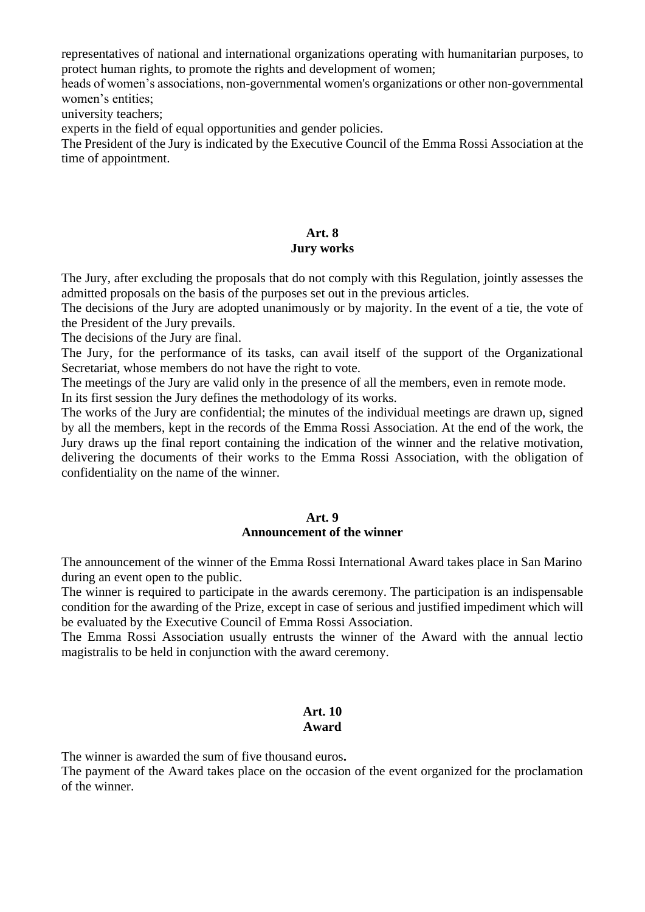representatives of national and international organizations operating with humanitarian purposes, to protect human rights, to promote the rights and development of women;

heads of women's associations, non-governmental women's organizations or other non-governmental women's entities;

university teachers;

experts in the field of equal opportunities and gender policies.

The President of the Jury is indicated by the Executive Council of the Emma Rossi Association at the time of appointment.

#### **Art. 8 Jury works**

The Jury, after excluding the proposals that do not comply with this Regulation, jointly assesses the admitted proposals on the basis of the purposes set out in the previous articles.

The decisions of the Jury are adopted unanimously or by majority. In the event of a tie, the vote of the President of the Jury prevails.

The decisions of the Jury are final.

The Jury, for the performance of its tasks, can avail itself of the support of the Organizational Secretariat, whose members do not have the right to vote.

The meetings of the Jury are valid only in the presence of all the members, even in remote mode.

In its first session the Jury defines the methodology of its works.

The works of the Jury are confidential; the minutes of the individual meetings are drawn up, signed by all the members, kept in the records of the Emma Rossi Association. At the end of the work, the Jury draws up the final report containing the indication of the winner and the relative motivation, delivering the documents of their works to the Emma Rossi Association, with the obligation of confidentiality on the name of the winner.

## **Art. 9**

## **Announcement of the winner**

The announcement of the winner of the Emma Rossi International Award takes place in San Marino during an event open to the public.

The winner is required to participate in the awards ceremony. The participation is an indispensable condition for the awarding of the Prize, except in case of serious and justified impediment which will be evaluated by the Executive Council of Emma Rossi Association.

The Emma Rossi Association usually entrusts the winner of the Award with the annual lectio magistralis to be held in conjunction with the award ceremony.

## **Art. 10 Award**

The winner is awarded the sum of five thousand euros**.**

The payment of the Award takes place on the occasion of the event organized for the proclamation of the winner.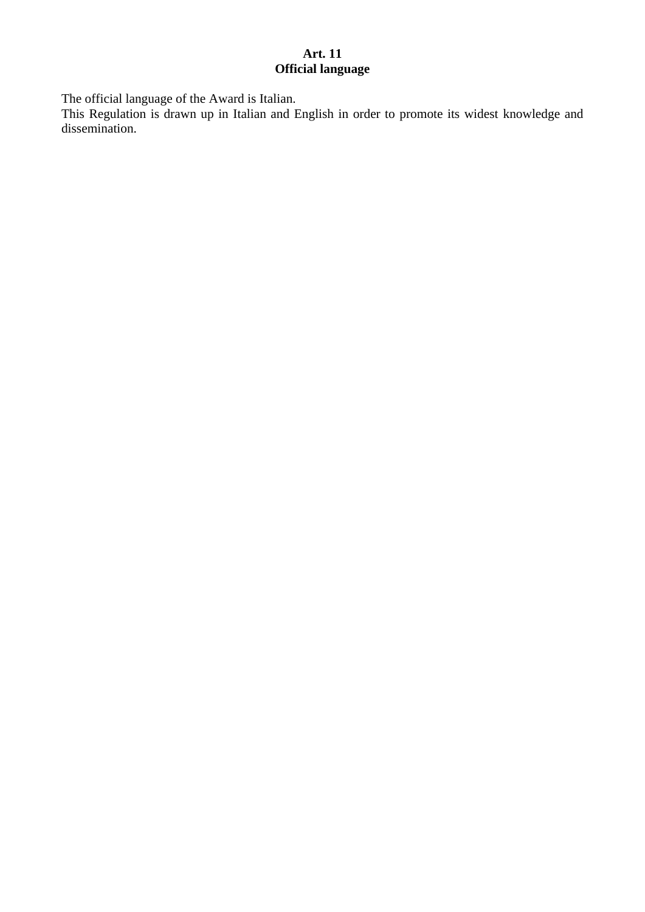## **Art. 11 Official language**

The official language of the Award is Italian.

This Regulation is drawn up in Italian and English in order to promote its widest knowledge and dissemination.